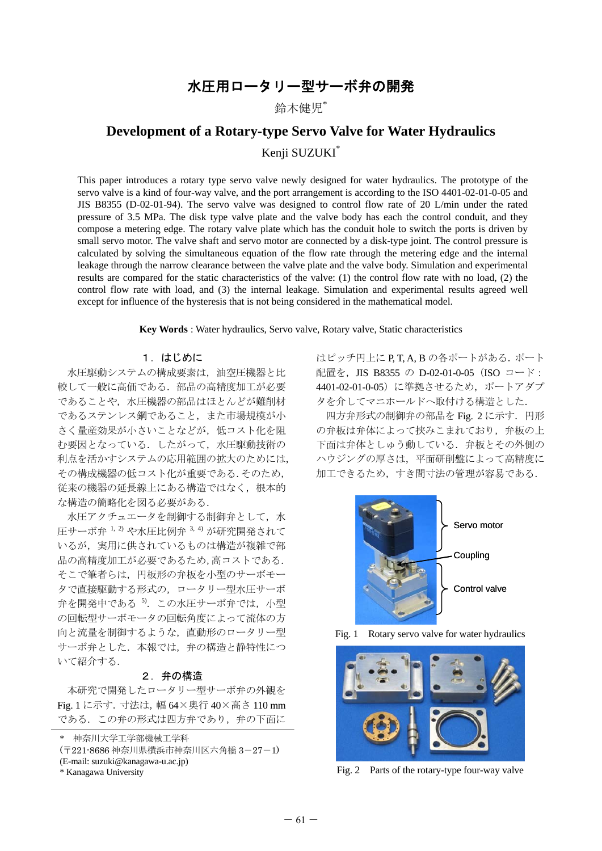## 水圧用ロータリー型サーボ弁の開発

鈴木健児\*

# **Development of a Rotary-type Servo Valve for Water Hydraulics**  Kenji SUZUKI\*

This paper introduces a rotary type servo valve newly designed for water hydraulics. The prototype of the servo valve is a kind of four-way valve, and the port arrangement is according to the ISO 4401-02-01-0-05 and JIS B8355 (D-02-01-94). The servo valve was designed to control flow rate of 20 L/min under the rated pressure of 3.5 MPa. The disk type valve plate and the valve body has each the control conduit, and they compose a metering edge. The rotary valve plate which has the conduit hole to switch the ports is driven by small servo motor. The valve shaft and servo motor are connected by a disk-type joint. The control pressure is calculated by solving the simultaneous equation of the flow rate through the metering edge and the internal leakage through the narrow clearance between the valve plate and the valve body. Simulation and experimental results are compared for the static characteristics of the valve: (1) the control flow rate with no load, (2) the control flow rate with load, and (3) the internal leakage. Simulation and experimental results agreed well except for influence of the hysteresis that is not being considered in the mathematical model.

**Key Words** : Water hydraulics, Servo valve, Rotary valve, Static characteristics

### 1.はじめに

水圧駆動システムの構成要素は,油空圧機器と比 較して一般に高価である.部品の高精度加工が必要 であることや,水圧機器の部品はほとんどが難削材 であるステンレス鋼であること,また市場規模が小 さく量産効果が小さいことなどが,低コスト化を阻 む要因となっている.したがって,水圧駆動技術の 利点を活かすシステムの応用範囲の拡大のためには, その構成機器の低コスト化が重要である.そのため, 従来の機器の延長線上にある構造ではなく,根本的 な構造の簡略化を図る必要がある.

水圧アクチュエータを制御する制御弁として,水 圧サーボ弁<sup>1,2)</sup>や水圧比例弁<sup>3,4)</sup>が研究開発されて いるが,実用に供されているものは構造が複雑で部 品の高精度加工が必要であるため,高コストである. そこで筆者らは,円板形の弁板を小型のサーボモー タで直接駆動する形式の,ロータリー型水圧サーボ 弁を開発中である<sup>5</sup>.この水圧サーボ弁では、小型 の回転型サーボモータの回転角度によって流体の方 向と流量を制御するような,直動形のロータリー型 サーボ弁とした.本報では,弁の構造と静特性につ いて紹介する.

### 2.弁の構造

本研究で開発したロータリー型サーボ弁の外観を Fig. 1 に示す.寸法は,幅 64×奥行 40×高さ 110 mm である.この弁の形式は四方弁であり,弁の下面に

- (〒221-8686 神奈川県横浜市神奈川区六角橋 3-27-1)
- (E-mail: suzuki@kanagawa-u.ac.jp)

はピッチ円上に P. T. A. B の各ポートがある. ポート 配置を, JIS B8355 の D-02-01-0-05 (ISO コード: 4401-02-01-0-05)に準拠させるため,ポートアダプ タを介してマニホールドへ取付ける構造とした.

四方弁形式の制御弁の部品を Fig. 2 に示す. 円形 の弁板は弁体によって挟みこまれており、弁板の上 下面は弁体としゅう動している.弁板とその外側の ハウジングの厚さは,平面研削盤によって高精度に 加工できるため,すき間寸法の管理が容易である.



Fig. 1 Rotary servo valve for water hydraulics



\* Kanagawa University Fig. 2 Parts of the rotary-type four-way valve

<sup>\*</sup> 神奈川大学工学部機械工学科